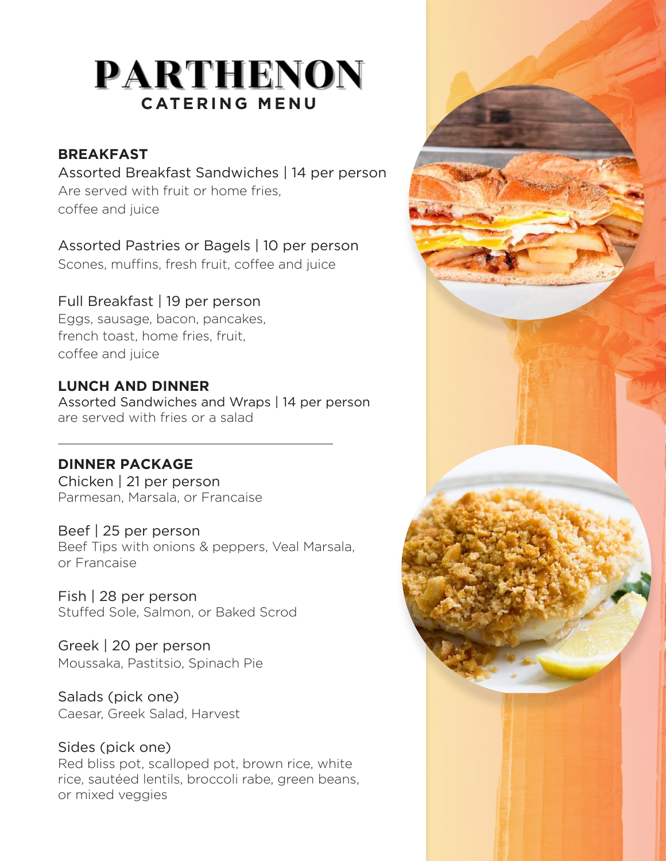# **PARTHENON CATERING MENU**

#### **BREAKFAST**

Assorted Breakfast Sandwiches | 14 per person Are served with fruit or home fries, coffee and juice

Assorted Pastries or Bagels | 10 per person Scones, muffins, fresh fruit, coffee and juice

## Full Breakfast | 19 per person

Eggs, sausage, bacon, pancakes, french toast, home fries, fruit, coffee and juice

### **LUNCH AND DINNER**

Assorted Sandwiches and Wraps | 14 per person are served with fries or a salad

### **DINNER PACKAGE**

Chicken | 21 per person Parmesan, Marsala, or Francaise

Beef | 25 per person Beef Tips with onions & peppers, Veal Marsala, or Francaise

Fish | 28 per person Stuffed Sole, Salmon, or Baked Scrod

Greek | 20 per person Moussaka, Pastitsio, Spinach Pie

Salads (pick one) Caesar, Greek Salad, Harvest

Sides (pick one) Red bliss pot, scalloped pot, brown rice, white rice, sautéed lentils, broccoli rabe, green beans, or mixed veggies